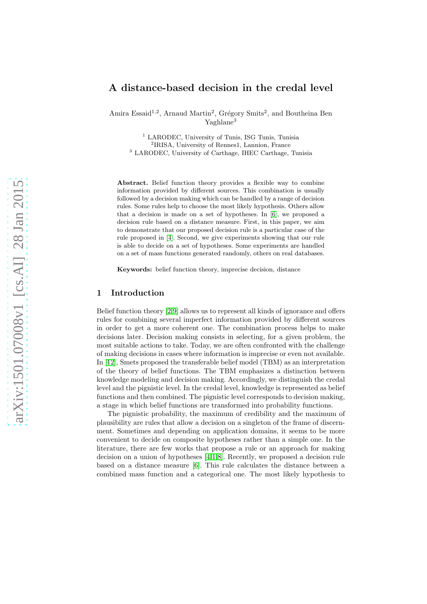# A distance-based decision in the credal level

Amira Essaid<sup>1,2</sup>, Arnaud Martin<sup>2</sup>, Grégory Smits<sup>2</sup>, and Boutheina Ben Yaghlane<sup>3</sup>

<sup>1</sup> LARODEC, University of Tunis, ISG Tunis, Tunisia 2 IRISA, University of Rennes1, Lannion, France <sup>3</sup> LARODEC, University of Carthage, IHEC Carthage, Tunisia

Abstract. Belief function theory provides a flexible way to combine information provided by different sources. This combination is usually followed by a decision making which can be handled by a range of decision rules. Some rules help to choose the most likely hypothesis. Others allow that a decision is made on a set of hypotheses. In [\[6\]](#page-9-0), we proposed a decision rule based on a distance measure. First, in this paper, we aim to demonstrate that our proposed decision rule is a particular case of the rule proposed in [\[4\]](#page-8-0). Second, we give experiments showing that our rule is able to decide on a set of hypotheses. Some experiments are handled on a set of mass functions generated randomly, others on real databases.

Keywords: belief function theory, imprecise decision, distance

## 1 Introduction

Belief function theory [\[2](#page-8-1)[,9\]](#page-9-1) allows us to represent all kinds of ignorance and offers rules for combining several imperfect information provided by different sources in order to get a more coherent one. The combination process helps to make decisions later. Decision making consists in selecting, for a given problem, the most suitable actions to take. Today, we are often confronted with the challenge of making decisions in cases where information is imprecise or even not available. In [\[12\]](#page-9-2), Smets proposed the transferable belief model (TBM) as an interpretation of the theory of belief functions. The TBM emphasizes a distinction between knowledge modeling and decision making. Accordingly, we distinguish the credal level and the pignistic level. In the credal level, knowledge is represented as belief functions and then combined. The pignistic level corresponds to decision making, a stage in which belief functions are transformed into probability functions.

The pignistic probability, the maximum of credibility and the maximum of plausibility are rules that allow a decision on a singleton of the frame of discernment. Sometimes and depending on application domains, it seems to be more convenient to decide on composite hypotheses rather than a simple one. In the literature, there are few works that propose a rule or an approach for making decision on a union of hypotheses [\[4,](#page-8-0)[1,](#page-8-2)[8\]](#page-9-3). Recently, we proposed a decision rule based on a distance measure [\[6\]](#page-9-0). This rule calculates the distance between a combined mass function and a categorical one. The most likely hypothesis to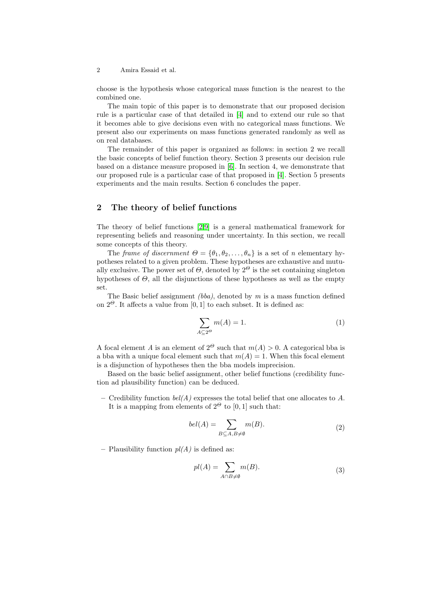choose is the hypothesis whose categorical mass function is the nearest to the combined one.

The main topic of this paper is to demonstrate that our proposed decision rule is a particular case of that detailed in [\[4\]](#page-8-0) and to extend our rule so that it becomes able to give decisions even with no categorical mass functions. We present also our experiments on mass functions generated randomly as well as on real databases.

The remainder of this paper is organized as follows: in section 2 we recall the basic concepts of belief function theory. Section 3 presents our decision rule based on a distance measure proposed in [\[6\]](#page-9-0). In section 4, we demonstrate that our proposed rule is a particular case of that proposed in [\[4\]](#page-8-0). Section 5 presents experiments and the main results. Section 6 concludes the paper.

# 2 The theory of belief functions

The theory of belief functions [\[2,](#page-8-1)[9\]](#page-9-1) is a general mathematical framework for representing beliefs and reasoning under uncertainty. In this section, we recall some concepts of this theory.

The frame of discernment  $\Theta = {\theta_1, \theta_2, \ldots, \theta_n}$  is a set of n elementary hypotheses related to a given problem. These hypotheses are exhaustive and mutually exclusive. The power set of  $\Theta$ , denoted by  $2^{\Theta}$  is the set containing singleton hypotheses of  $\Theta$ , all the disjunctions of these hypotheses as well as the empty set.

The Basic belief assignment *(bba)*, denoted by  $m$  is a mass function defined on  $2^{\Theta}$ . It affects a value from [0, 1] to each subset. It is defined as:

$$
\sum_{A \subseteq 2^{\Theta}} m(A) = 1. \tag{1}
$$

A focal element A is an element of  $2^{\Theta}$  such that  $m(A) > 0$ . A categorical bba is a bba with a unique focal element such that  $m(A) = 1$ . When this focal element is a disjunction of hypotheses then the bba models imprecision.

 $\overline{a}$ 

Based on the basic belief assignment, other belief functions (credibility function ad plausibility function) can be deduced.

– Credibility function  $bel(A)$  expresses the total belief that one allocates to A. It is a mapping from elements of  $2^{\Theta}$  to [0, 1] such that:

$$
bel(A) = \sum_{B \subseteq A, B \neq \emptyset} m(B). \tag{2}
$$

– Plausibility function  $pl(A)$  is defined as:

$$
pl(A) = \sum_{A \cap B \neq \emptyset} m(B). \tag{3}
$$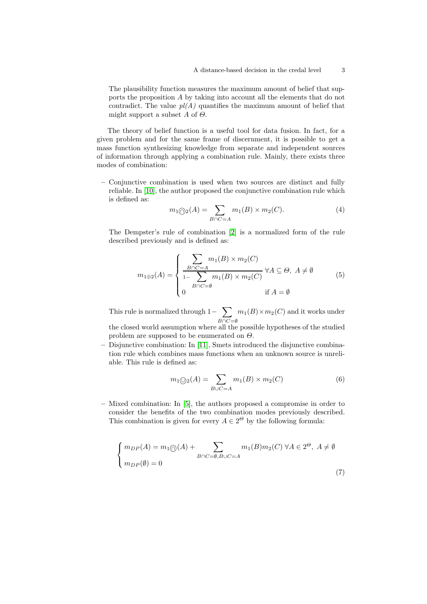The plausibility function measures the maximum amount of belief that supports the proposition A by taking into account all the elements that do not contradict. The value  $pl(A)$  quantifies the maximum amount of belief that might support a subset A of  $\Theta$ .

The theory of belief function is a useful tool for data fusion. In fact, for a given problem and for the same frame of discernment, it is possible to get a mass function synthesizing knowledge from separate and independent sources of information through applying a combination rule. Mainly, there exists three modes of combination:

– Conjunctive combination is used when two sources are distinct and fully reliable. In [\[10\]](#page-9-4), the author proposed the conjunctive combination rule which is defined as:

$$
m_{1}\textcircled{\scriptsize{\bigcap}}_{2}(A) = \sum_{B \cap C = A} m_{1}(B) \times m_{2}(C). \tag{4}
$$

The Dempster's rule of combination [\[2\]](#page-8-1) is a normalized form of the rule described previously and is defined as:

$$
m_{1\oplus 2}(A) = \begin{cases} \sum_{B \cap C = A} m_1(B) \times m_2(C) \\ \frac{1}{1 - \sum_{B \cap C = \emptyset} m_1(B) \times m_2(C)} \ \forall A \subseteq \Theta, \ A \neq \emptyset \\ 0 & \text{if } A = \emptyset \end{cases} \tag{5}
$$

This rule is normalized through  $1-\sum$  $B \cap C = \emptyset$  $m_1(B) \times m_2(C)$  and it works under the closed world assumption where all the possible hypotheses of the studied problem are supposed to be enumerated on  $\Theta$ .

– Disjunctive combination: In [\[11\]](#page-9-5), Smets introduced the disjunctive combination rule which combines mass functions when an unknown source is unreliable. This rule is defined as:

$$
m_1 \text{O}_2(A) = \sum_{B \cup C = A} m_1(B) \times m_2(C) \tag{6}
$$

– Mixed combination: In [\[5\]](#page-8-3), the authors proposed a compromise in order to consider the benefits of the two combination modes previously described. This combination is given for every  $A \in 2^{\Theta}$  by the following formula:

$$
\begin{cases}\nm_{DP}(A) = m_1 \textcircled{)}(A) + \sum_{B \cap C = \emptyset, B \cup C = A} m_1(B)m_2(C) \,\forall A \in 2^\Theta, \ A \neq \emptyset \\
m_{DP}(\emptyset) = 0\n\end{cases} \tag{7}
$$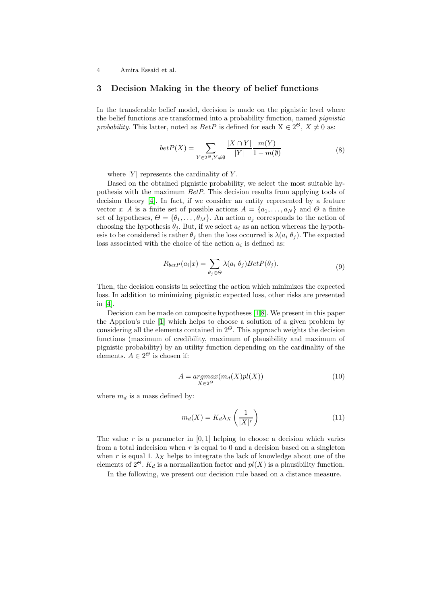## 3 Decision Making in the theory of belief functions

In the transferable belief model, decision is made on the pignistic level where the belief functions are transformed into a probability function, named pignistic probability. This latter, noted as  $BetP$  is defined for each  $X \in 2^{\Theta}$ ,  $X \neq 0$  as:

$$
betP(X) = \sum_{Y \in 2^{\Theta}, Y \neq \emptyset} \frac{|X \cap Y|}{|Y|} \frac{m(Y)}{1 - m(\emptyset)}\tag{8}
$$

where  $|Y|$  represents the cardinality of Y.

Based on the obtained pignistic probability, we select the most suitable hypothesis with the maximum BetP. This decision results from applying tools of decision theory [\[4\]](#page-8-0). In fact, if we consider an entity represented by a feature vector x. A is a finite set of possible actions  $A = \{a_1, \ldots, a_N\}$  and  $\Theta$  a finite set of hypotheses,  $\Theta = {\theta_1, \ldots, \theta_M}$ . An action  $a_j$  corresponds to the action of choosing the hypothesis  $\theta_i$ . But, if we select  $a_i$  as an action whereas the hypothesis to be considered is rather  $\theta_j$  then the loss occurred is  $\lambda(a_i|\theta_j)$ . The expected loss associated with the choice of the action  $a_i$  is defined as:

$$
R_{betP}(a_i|x) = \sum_{\theta_j \in \Theta} \lambda(a_i|\theta_j) BetP(\theta_j).
$$
\n(9)

Then, the decision consists in selecting the action which minimizes the expected loss. In addition to minimizing pignistic expected loss, other risks are presented in [\[4\]](#page-8-0).

Decision can be made on composite hypotheses [\[1,](#page-8-2)[8\]](#page-9-3). We present in this paper the Appriou's rule [\[1\]](#page-8-2) which helps to choose a solution of a given problem by considering all the elements contained in  $2^{\Theta}$ . This approach weights the decision functions (maximum of credibility, maximum of plausibility and maximum of pignistic probability) by an utility function depending on the cardinality of the elements.  $A \in 2^{\Theta}$  is chosen if:

$$
A = \underset{X \in 2^{\Theta}}{\operatorname{argmax}} (m_d(X)pl(X)) \tag{10}
$$

where  $m_d$  is a mass defined by:

$$
m_d(X) = K_d \lambda_X \left(\frac{1}{|X|^r}\right) \tag{11}
$$

The value r is a parameter in  $[0, 1]$  helping to choose a decision which varies from a total indecision when  $r$  is equal to 0 and a decision based on a singleton when r is equal 1.  $\lambda_X$  helps to integrate the lack of knowledge about one of the elements of  $2^{\Theta}$ .  $K_d$  is a normalization factor and  $pl(X)$  is a plausibility function.

In the following, we present our decision rule based on a distance measure.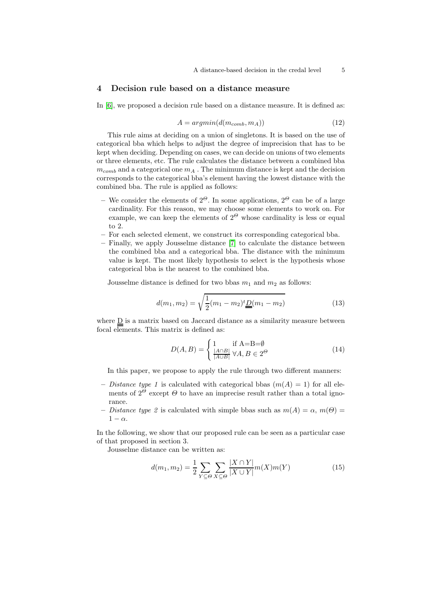## 4 Decision rule based on a distance measure

In [\[6\]](#page-9-0), we proposed a decision rule based on a distance measure. It is defined as:

$$
A = argmin(d(m_{comb}, m_A))
$$
\n(12)

This rule aims at deciding on a union of singletons. It is based on the use of categorical bba which helps to adjust the degree of imprecision that has to be kept when deciding. Depending on cases, we can decide on unions of two elements or three elements, etc. The rule calculates the distance between a combined bba  $m_{comb}$  and a categorical one  $m_A$ . The minimum distance is kept and the decision corresponds to the categorical bba's element having the lowest distance with the combined bba. The rule is applied as follows:

- We consider the elements of  $2^{\Theta}$ . In some applications,  $2^{\Theta}$  can be of a large cardinality. For this reason, we may choose some elements to work on. For example, we can keep the elements of  $2^{\Theta}$  whose cardinality is less or equal to 2.
- For each selected element, we construct its corresponding categorical bba.
- Finally, we apply Jousselme distance [\[7\]](#page-9-6) to calculate the distance between the combined bba and a categorical bba. The distance with the minimum value is kept. The most likely hypothesis to select is the hypothesis whose categorical bba is the nearest to the combined bba.

Jousselme distance is defined for two bbas  $m_1$  and  $m_2$  as follows:

$$
d(m_1, m_2) = \sqrt{\frac{1}{2}(m_1 - m_2)t} \underline{D}(m_1 - m_2)
$$
\n(13)

where  $\underline{D}$  is a matrix based on Jaccard distance as a similarity measure between focal elements. This matrix is defined as:

$$
D(A,B) = \begin{cases} 1 & \text{if A=B=\emptyset} \\ \frac{|A \cap B|}{|A \cup B|} \forall A, B \in 2^{\Theta} \end{cases}
$$
(14)

In this paper, we propose to apply the rule through two different manners:

- Distance type 1 is calculated with categorical bbas  $(m(A) = 1)$  for all elements of  $2^{\Theta}$  except  $\Theta$  to have an imprecise result rather than a total ignorance.
- Distance type 2 is calculated with simple bbas such as  $m(A) = \alpha$ ,  $m(\Theta) =$  $1 - \alpha$ .

In the following, we show that our proposed rule can be seen as a particular case of that proposed in section 3.

Jousselme distance can be written as:

$$
d(m_1, m_2) = \frac{1}{2} \sum_{Y \subseteq \Theta} \sum_{X \subseteq \Theta} \frac{|X \cap Y|}{|X \cup Y|} m(X) m(Y)
$$
(15)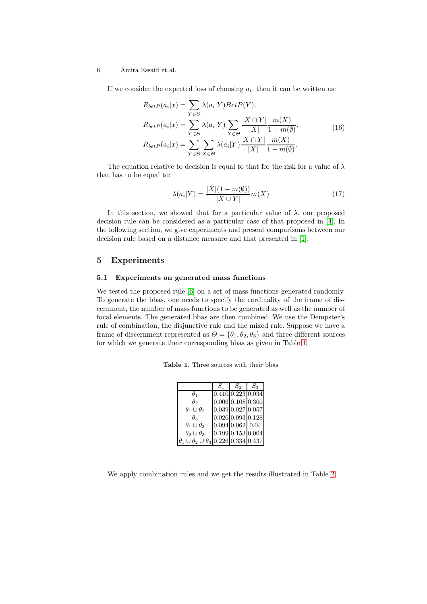If we consider the expected loss of choosing  $a_i$ , then it can be written as:

$$
R_{betP}(a_i|x) = \sum_{Y \in \Theta} \lambda(a_i|Y) BetP(Y).
$$
  
\n
$$
R_{betP}(a_i|x) = \sum_{Y \in \Theta} \lambda(a_i|Y) \sum_{X \in \Theta} \frac{|X \cap Y|}{|X|} \frac{m(X)}{1 - m(\emptyset)}.
$$
  
\n
$$
R_{betP}(a_i|x) = \sum_{Y \in \Theta} \sum_{X \in \Theta} \lambda(a_i|Y) \frac{|X \cap Y|}{|X|} \frac{m(X)}{1 - m(\emptyset)}.
$$
\n(16)

The equation relative to decision is equal to that for the risk for a value of  $\lambda$ that has to be equal to:

$$
\lambda(a_i|Y) = \frac{|X|(1-m(\emptyset))}{|X \cup Y|}m(X)
$$
\n(17)

In this section, we showed that for a particular value of  $\lambda$ , our proposed decision rule can be considered as a particular case of that proposed in [\[4\]](#page-8-0). In the following section, we give experiments and present comparisons between our decision rule based on a distance measure and that presented in [\[1\]](#page-8-2).

## 5 Experiments

## 5.1 Experiments on generated mass functions

We tested the proposed rule [\[6\]](#page-9-0) on a set of mass functions generated randomly. To generate the bbas, one needs to specify the cardinality of the frame of discernment, the number of mass functions to be generated as well as the number of focal elements. The generated bbas are then combined. We use the Dempster's rule of combination, the disjunctive rule and the mixed rule. Suppose we have a frame of discernment represented as  $\Theta = {\theta_1, \theta_2, \theta_3}$  and three different sources for which we generate their corresponding bbas as given in Table [1.](#page-5-0)

Table 1. Three sources with their bbas

<span id="page-5-0"></span>

|                                                          | $S_1$                         | $S_2$ | $S_3$ |
|----------------------------------------------------------|-------------------------------|-------|-------|
| $\theta_1$                                               | $0.410 \,   0.223 \,   0.034$ |       |       |
| $\theta$ 2                                               | $0.006$ 0.108 0.300           |       |       |
| $\theta_1 \cup \theta_2$                                 | $0.039 \, 0.027 \, 0.057$     |       |       |
| $\theta_3$                                               | $0.026$ 0.093 0.128           |       |       |
| $\theta_1 \cup \theta_3$                                 | $0.094 \, 0.062 \, 0.04$      |       |       |
| $\theta_2 \cup \theta_3$                                 | $0.199 \, 0.153 \, 0.004$     |       |       |
| $\theta_1 \cup \theta_2 \cup \theta_3$ 0.226 0.334 0.437 |                               |       |       |

We apply combination rules and we get the results illustrated in Table [2.](#page-6-0)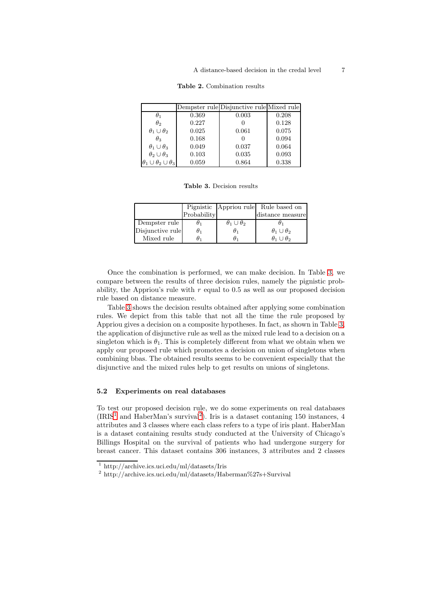#### <span id="page-6-0"></span>A distance-based decision in the credal level 7

| Dempster rule Disjunctive rule Mixed rule |
|-------------------------------------------|
|                                           |
| 0.208                                     |
| 0.128                                     |
| 0.075                                     |
| 0.094                                     |
| 0.064                                     |
| 0.093                                     |
| 0.338                                     |
|                                           |

#### Table 2. Combination results

<span id="page-6-1"></span>Table 3. Decision results

|                  |             |                          | Pignistic Appriou rule Rule based on |
|------------------|-------------|--------------------------|--------------------------------------|
|                  | Probability |                          | distance measure                     |
| Dempster rule    | υ1          | $\theta_1 \cup \theta_2$ |                                      |
| Disjunctive rule | $\theta_1$  | U1                       | $\theta_1 \cup \theta_2$             |
| Mixed rule       |             |                          | $\theta_1 \cup \theta_2$             |

Once the combination is performed, we can make decision. In Table [3,](#page-6-1) we compare between the results of three decision rules, namely the pignistic probability, the Appriou's rule with  $r$  equal to 0.5 as well as our proposed decision rule based on distance measure.

Table [3](#page-6-1) shows the decision results obtained after applying some combination rules. We depict from this table that not all the time the rule proposed by Appriou gives a decision on a composite hypotheses. In fact, as shown in Table [3,](#page-6-1) the application of disjunctive rule as well as the mixed rule lead to a decision on a singleton which is  $\theta_1$ . This is completely different from what we obtain when we apply our proposed rule which promotes a decision on union of singletons when combining bbas. The obtained results seems to be convenient especially that the disjunctive and the mixed rules help to get results on unions of singletons.

## 5.2 Experiments on real databases

To test our proposed decision rule, we do some experiments on real databases  $(IRIS<sup>1</sup>$  $(IRIS<sup>1</sup>$  $(IRIS<sup>1</sup>$  and HaberMan's survival<sup>[2](#page-6-3)</sup>). Iris is a dataset contaning 150 instances, 4 attributes and 3 classes where each class refers to a type of iris plant. HaberMan is a dataset containing results study conducted at the University of Chicago's Billings Hospital on the survival of patients who had undergone surgery for breast cancer. This dataset contains 306 instances, 3 attributes and 2 classes

<sup>1</sup> http://archive.ics.uci.edu/ml/datasets/Iris

<span id="page-6-3"></span><span id="page-6-2"></span><sup>2</sup> http://archive.ics.uci.edu/ml/datasets/Haberman%27s+Survival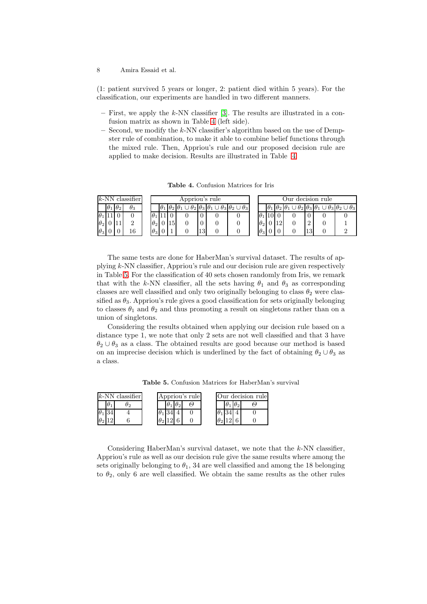(1: patient survived 5 years or longer, 2: patient died within 5 years). For the classification, our experiments are handled in two different manners.

- $-$  First, we apply the k-NN classifier [\[3\]](#page-8-4). The results are illustrated in a confusion matrix as shown in Table [4](#page-7-0) (left side).
- $-$  Second, we modify the k-NN classifier's algorithm based on the use of Dempster rule of combination, to make it able to combine belief functions through the mixed rule. Then, Appriou's rule and our proposed decision rule are applied to make decision. Results are illustrated in Table [4.](#page-7-0)

<span id="page-7-0"></span>Table 4. Confusion Matrices for Iris

| $k$ -NN classifier<br>Appriou's rule |  |                       |            |  |            |  |    |    |                                                                                                     | Our decision rule |  |                                                            |    |                                                                                                    |
|--------------------------------------|--|-----------------------|------------|--|------------|--|----|----|-----------------------------------------------------------------------------------------------------|-------------------|--|------------------------------------------------------------|----|----------------------------------------------------------------------------------------------------|
|                                      |  | $\theta_1$ $\theta_2$ | $\theta_3$ |  |            |  |    |    | $ \theta_1 \theta_2 \theta_1 \cup \theta_2 \theta_3 \theta_1 \cup \theta_3 \theta_2 \cup \theta_3 $ |                   |  | $\theta_1 \mathbf{ } \theta_2 \mathbf{ } \theta_1 \mathbf$ |    | $\theta_1 \theta_2 \vert \theta_3 \vert \theta_1 \cup \theta_3 \vert \theta_2 \cup \theta_3 \vert$ |
| $\theta_1$                           |  |                       |            |  |            |  |    |    |                                                                                                     | $\theta_1$        |  |                                                            |    |                                                                                                    |
| $\theta_2$                           |  |                       | $\Omega$   |  | $\theta_2$ |  | 15 |    |                                                                                                     | $\theta_2$        |  |                                                            |    |                                                                                                    |
| $\theta_3$                           |  |                       | 16         |  | $\theta_3$ |  |    | 13 |                                                                                                     | $\theta_3$        |  |                                                            | ΤĐ |                                                                                                    |

The same tests are done for HaberMan's survival dataset. The results of applying k-NN classifier, Appriou's rule and our decision rule are given respectively in Table [5.](#page-7-1) For the classification of 40 sets chosen randomly from Iris, we remark that with the k-NN classifier, all the sets having  $\theta_1$  and  $\theta_3$  as corresponding classes are well classified and only two originally belonging to class  $\theta_2$  were classified as  $\theta_3$ . Appriou's rule gives a good classification for sets originally belonging to classes  $\theta_1$  and  $\theta_2$  and thus promoting a result on singletons rather than on a union of singletons.

Considering the results obtained when applying our decision rule based on a distance type 1, we note that only 2 sets are not well classified and that 3 have  $\theta_2 \cup \theta_3$  as a class. The obtained results are good because our method is based on an imprecise decision which is underlined by the fact of obtaining  $\theta_2 \cup \theta_3$  as a class.

<span id="page-7-1"></span>Table 5. Confusion Matrices for HaberMan's survival

| $k$ -NN classifier |  |  |  |  | Appriou's rule | Our decision rule |  |  |  |  |
|--------------------|--|--|--|--|----------------|-------------------|--|--|--|--|
|                    |  |  |  |  |                |                   |  |  |  |  |
|                    |  |  |  |  |                |                   |  |  |  |  |
| U2                 |  |  |  |  |                |                   |  |  |  |  |

Considering HaberMan's survival dataset, we note that the k-NN classifier, Appriou's rule as well as our decision rule give the same results where among the sets originally belonging to  $\theta_1$ , 34 are well classified and among the 18 belonging to  $\theta_2$ , only 6 are well classified. We obtain the same results as the other rules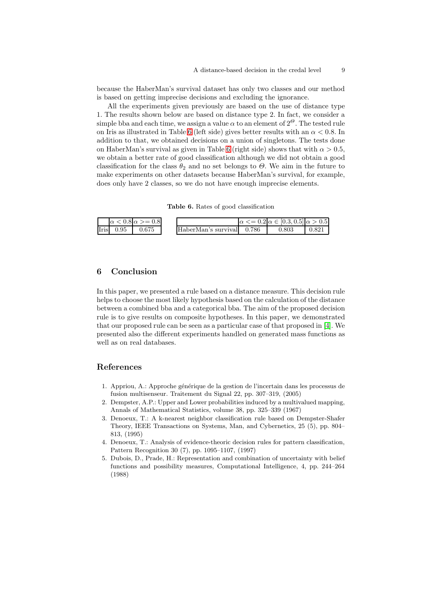because the HaberMan's survival dataset has only two classes and our method is based on getting imprecise decisions and excluding the ignorance.

All the experiments given previously are based on the use of distance type 1. The results shown below are based on distance type 2. In fact, we consider a simple bba and each time, we assign a value  $\alpha$  to an element of  $2^{\Theta}$ . The tested rule on Iris as illustrated in Table [6](#page-8-5) (left side) gives better results with an  $\alpha < 0.8$ . In addition to that, we obtained decisions on a union of singletons. The tests done on HaberMan's survival as given in Table [6](#page-8-5) (right side) shows that with  $\alpha > 0.5$ , we obtain a better rate of good classification although we did not obtain a good classification for the class  $\theta_2$  and no set belongs to  $\Theta$ . We aim in the future to make experiments on other datasets because HaberMan's survival, for example, does only have 2 classes, so we do not have enough imprecise elements.

<span id="page-8-5"></span>Table 6. Rates of good classification

|                                | $\alpha$ < 0.8 $\alpha$ > = 0.8 |                           | $\alpha \leq 0.2 \alpha \in [0.3, 0.5]$ $\alpha > 0.5$ |       |
|--------------------------------|---------------------------------|---------------------------|--------------------------------------------------------|-------|
| $\text{Iris}$ 0.95 $\pm$ 0.675 |                                 | HaberMan's survival 0.786 | 0.803                                                  | 0.821 |

## 6 Conclusion

In this paper, we presented a rule based on a distance measure. This decision rule helps to choose the most likely hypothesis based on the calculation of the distance between a combined bba and a categorical bba. The aim of the proposed decision rule is to give results on composite hypotheses. In this paper, we demonstrated that our proposed rule can be seen as a particular case of that proposed in [\[4\]](#page-8-0). We presented also the different experiments handled on generated mass functions as well as on real databases.

## References

- <span id="page-8-2"></span>1. Appriou, A.: Approche générique de la gestion de l'incertain dans les processus de fusion multisenseur. Traitement du Signal 22, pp. 307–319, (2005)
- <span id="page-8-1"></span>2. Dempster, A.P.: Upper and Lower probabilities induced by a multivalued mapping, Annals of Mathematical Statistics, volume 38, pp. 325–339 (1967)
- <span id="page-8-4"></span>3. Denoeux, T.: A k-nearest neighbor classification rule based on Dempster-Shafer Theory, IEEE Transactions on Systems, Man, and Cybernetics, 25 (5), pp. 804– 813, (1995)
- <span id="page-8-0"></span>4. Denoeux, T.: Analysis of evidence-theoric decision rules for pattern classification, Pattern Recognition 30 (7), pp. 1095–1107, (1997)
- <span id="page-8-3"></span>5. Dubois, D., Prade, H.: Representation and combination of uncertainty with belief functions and possibility measures, Computational Intelligence, 4, pp. 244–264 (1988)